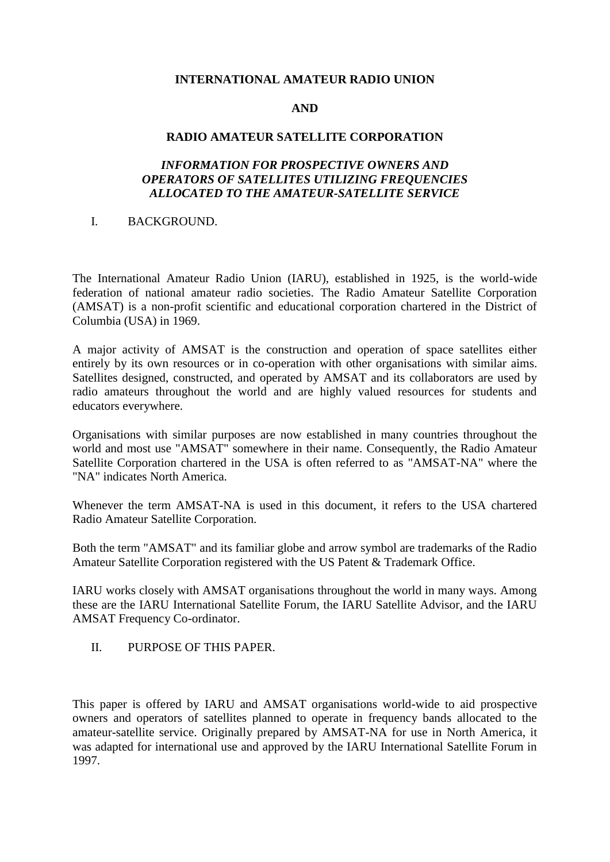## **INTERNATIONAL AMATEUR RADIO UNION**

## **AND**

#### **RADIO AMATEUR SATELLITE CORPORATION**

# *INFORMATION FOR PROSPECTIVE OWNERS AND OPERATORS OF SATELLITES UTILIZING FREQUENCIES ALLOCATED TO THE AMATEUR-SATELLITE SERVICE*

### I. BACKGROUND.

The International Amateur Radio Union (IARU), established in 1925, is the world-wide federation of national amateur radio societies. The Radio Amateur Satellite Corporation (AMSAT) is a non-profit scientific and educational corporation chartered in the District of Columbia (USA) in 1969.

A major activity of AMSAT is the construction and operation of space satellites either entirely by its own resources or in co-operation with other organisations with similar aims. Satellites designed, constructed, and operated by AMSAT and its collaborators are used by radio amateurs throughout the world and are highly valued resources for students and educators everywhere.

Organisations with similar purposes are now established in many countries throughout the world and most use "AMSAT" somewhere in their name. Consequently, the Radio Amateur Satellite Corporation chartered in the USA is often referred to as "AMSAT-NA" where the "NA" indicates North America.

Whenever the term AMSAT-NA is used in this document, it refers to the USA chartered Radio Amateur Satellite Corporation.

Both the term "AMSAT" and its familiar globe and arrow symbol are trademarks of the Radio Amateur Satellite Corporation registered with the US Patent & Trademark Office.

IARU works closely with AMSAT organisations throughout the world in many ways. Among these are the IARU International Satellite Forum, the IARU Satellite Advisor, and the IARU AMSAT Frequency Co-ordinator.

II. PURPOSE OF THIS PAPER.

This paper is offered by IARU and AMSAT organisations world-wide to aid prospective owners and operators of satellites planned to operate in frequency bands allocated to the amateur-satellite service. Originally prepared by AMSAT-NA for use in North America, it was adapted for international use and approved by the IARU International Satellite Forum in 1997.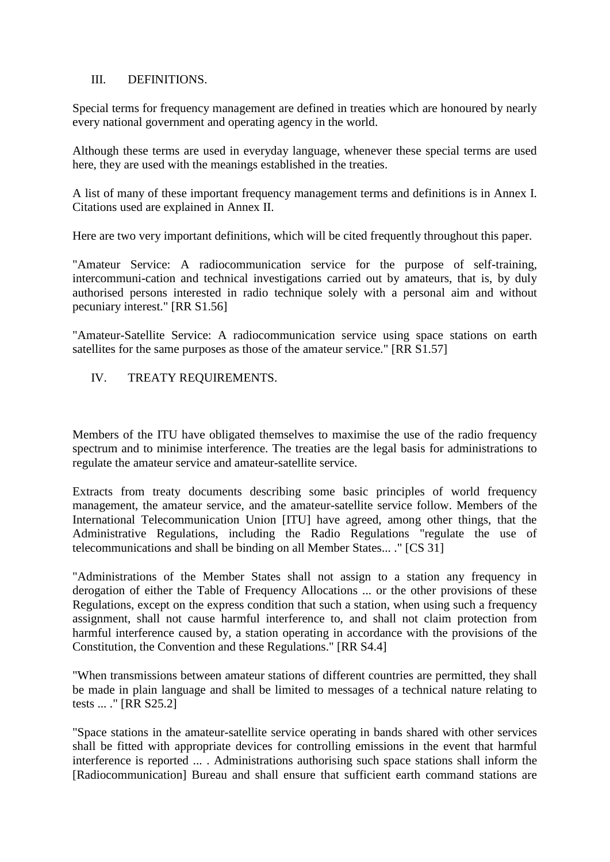## III. DEFINITIONS.

Special terms for frequency management are defined in treaties which are honoured by nearly every national government and operating agency in the world.

Although these terms are used in everyday language, whenever these special terms are used here, they are used with the meanings established in the treaties.

A list of many of these important frequency management terms and definitions is in Annex I. Citations used are explained in Annex II.

Here are two very important definitions, which will be cited frequently throughout this paper.

"Amateur Service: A radiocommunication service for the purpose of self-training, intercommuni-cation and technical investigations carried out by amateurs, that is, by duly authorised persons interested in radio technique solely with a personal aim and without pecuniary interest." [RR S1.56]

"Amateur-Satellite Service: A radiocommunication service using space stations on earth satellites for the same purposes as those of the amateur service." [RR S1.57]

# IV. TREATY REQUIREMENTS.

Members of the ITU have obligated themselves to maximise the use of the radio frequency spectrum and to minimise interference. The treaties are the legal basis for administrations to regulate the amateur service and amateur-satellite service.

Extracts from treaty documents describing some basic principles of world frequency management, the amateur service, and the amateur-satellite service follow. Members of the International Telecommunication Union [ITU] have agreed, among other things, that the Administrative Regulations, including the Radio Regulations "regulate the use of telecommunications and shall be binding on all Member States... ." [CS 31]

"Administrations of the Member States shall not assign to a station any frequency in derogation of either the Table of Frequency Allocations ... or the other provisions of these Regulations, except on the express condition that such a station, when using such a frequency assignment, shall not cause harmful interference to, and shall not claim protection from harmful interference caused by, a station operating in accordance with the provisions of the Constitution, the Convention and these Regulations." [RR S4.4]

"When transmissions between amateur stations of different countries are permitted, they shall be made in plain language and shall be limited to messages of a technical nature relating to tests ... ." [RR S25.2]

"Space stations in the amateur-satellite service operating in bands shared with other services shall be fitted with appropriate devices for controlling emissions in the event that harmful interference is reported ... . Administrations authorising such space stations shall inform the [Radiocommunication] Bureau and shall ensure that sufficient earth command stations are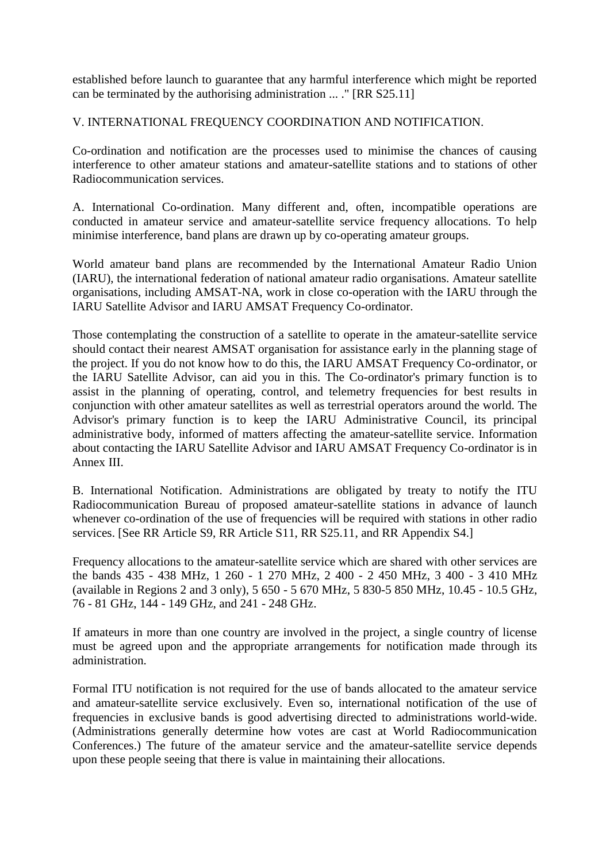established before launch to guarantee that any harmful interference which might be reported can be terminated by the authorising administration ... ." [RR S25.11]

V. INTERNATIONAL FREQUENCY COORDINATION AND NOTIFICATION.

Co-ordination and notification are the processes used to minimise the chances of causing interference to other amateur stations and amateur-satellite stations and to stations of other Radiocommunication services.

A. International Co-ordination. Many different and, often, incompatible operations are conducted in amateur service and amateur-satellite service frequency allocations. To help minimise interference, band plans are drawn up by co-operating amateur groups.

World amateur band plans are recommended by the International Amateur Radio Union (IARU), the international federation of national amateur radio organisations. Amateur satellite organisations, including AMSAT-NA, work in close co-operation with the IARU through the IARU Satellite Advisor and IARU AMSAT Frequency Co-ordinator.

Those contemplating the construction of a satellite to operate in the amateur-satellite service should contact their nearest AMSAT organisation for assistance early in the planning stage of the project. If you do not know how to do this, the IARU AMSAT Frequency Co-ordinator, or the IARU Satellite Advisor, can aid you in this. The Co-ordinator's primary function is to assist in the planning of operating, control, and telemetry frequencies for best results in conjunction with other amateur satellites as well as terrestrial operators around the world. The Advisor's primary function is to keep the IARU Administrative Council, its principal administrative body, informed of matters affecting the amateur-satellite service. Information about contacting the IARU Satellite Advisor and IARU AMSAT Frequency Co-ordinator is in Annex III.

B. International Notification. Administrations are obligated by treaty to notify the ITU Radiocommunication Bureau of proposed amateur-satellite stations in advance of launch whenever co-ordination of the use of frequencies will be required with stations in other radio services. [See RR Article S9, RR Article S11, RR S25.11, and RR Appendix S4.]

Frequency allocations to the amateur-satellite service which are shared with other services are the bands 435 - 438 MHz, 1 260 - 1 270 MHz, 2 400 - 2 450 MHz, 3 400 - 3 410 MHz (available in Regions 2 and 3 only), 5 650 - 5 670 MHz, 5 830-5 850 MHz, 10.45 - 10.5 GHz, 76 - 81 GHz, 144 - 149 GHz, and 241 - 248 GHz.

If amateurs in more than one country are involved in the project, a single country of license must be agreed upon and the appropriate arrangements for notification made through its administration.

Formal ITU notification is not required for the use of bands allocated to the amateur service and amateur-satellite service exclusively. Even so, international notification of the use of frequencies in exclusive bands is good advertising directed to administrations world-wide. (Administrations generally determine how votes are cast at World Radiocommunication Conferences.) The future of the amateur service and the amateur-satellite service depends upon these people seeing that there is value in maintaining their allocations.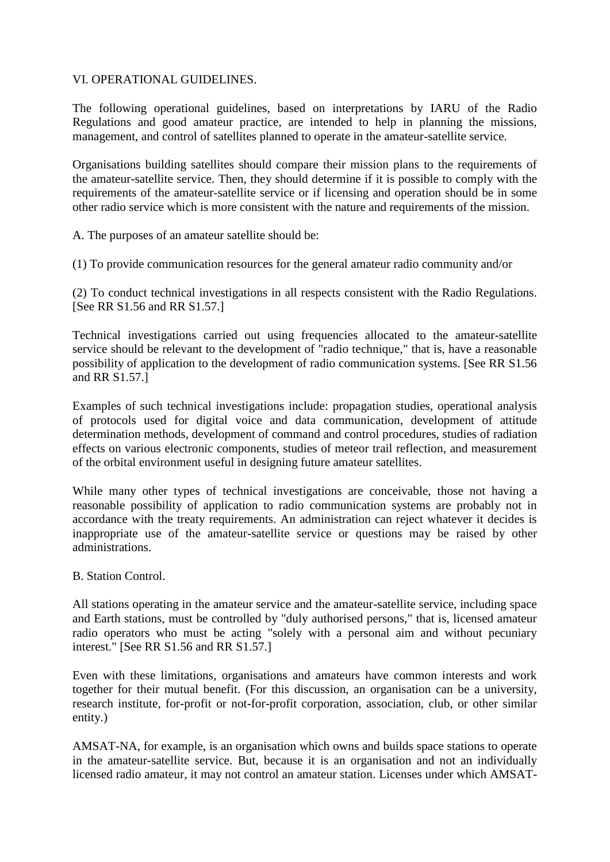# VI. OPERATIONAL GUIDELINES.

The following operational guidelines, based on interpretations by IARU of the Radio Regulations and good amateur practice, are intended to help in planning the missions, management, and control of satellites planned to operate in the amateur-satellite service.

Organisations building satellites should compare their mission plans to the requirements of the amateur-satellite service. Then, they should determine if it is possible to comply with the requirements of the amateur-satellite service or if licensing and operation should be in some other radio service which is more consistent with the nature and requirements of the mission.

A. The purposes of an amateur satellite should be:

(1) To provide communication resources for the general amateur radio community and/or

(2) To conduct technical investigations in all respects consistent with the Radio Regulations. [See RR S1.56 and RR S1.57.]

Technical investigations carried out using frequencies allocated to the amateur-satellite service should be relevant to the development of "radio technique," that is, have a reasonable possibility of application to the development of radio communication systems. [See RR S1.56 and RR S1.57.]

Examples of such technical investigations include: propagation studies, operational analysis of protocols used for digital voice and data communication, development of attitude determination methods, development of command and control procedures, studies of radiation effects on various electronic components, studies of meteor trail reflection, and measurement of the orbital environment useful in designing future amateur satellites.

While many other types of technical investigations are conceivable, those not having a reasonable possibility of application to radio communication systems are probably not in accordance with the treaty requirements. An administration can reject whatever it decides is inappropriate use of the amateur-satellite service or questions may be raised by other administrations.

### B. Station Control.

All stations operating in the amateur service and the amateur-satellite service, including space and Earth stations, must be controlled by "duly authorised persons," that is, licensed amateur radio operators who must be acting "solely with a personal aim and without pecuniary interest." [See RR S1.56 and RR S1.57.]

Even with these limitations, organisations and amateurs have common interests and work together for their mutual benefit. (For this discussion, an organisation can be a university, research institute, for-profit or not-for-profit corporation, association, club, or other similar entity.)

AMSAT-NA, for example, is an organisation which owns and builds space stations to operate in the amateur-satellite service. But, because it is an organisation and not an individually licensed radio amateur, it may not control an amateur station. Licenses under which AMSAT-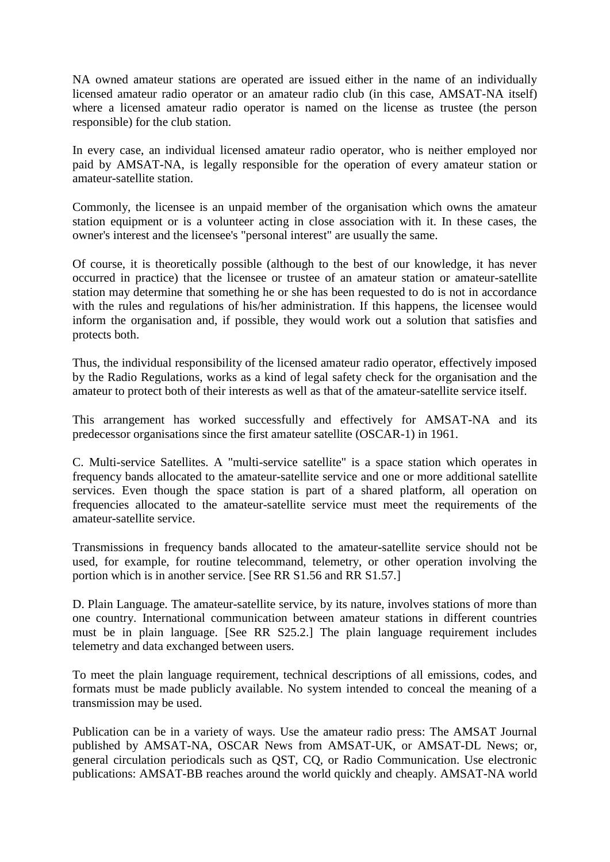NA owned amateur stations are operated are issued either in the name of an individually licensed amateur radio operator or an amateur radio club (in this case, AMSAT-NA itself) where a licensed amateur radio operator is named on the license as trustee (the person responsible) for the club station.

In every case, an individual licensed amateur radio operator, who is neither employed nor paid by AMSAT-NA, is legally responsible for the operation of every amateur station or amateur-satellite station.

Commonly, the licensee is an unpaid member of the organisation which owns the amateur station equipment or is a volunteer acting in close association with it. In these cases, the owner's interest and the licensee's "personal interest" are usually the same.

Of course, it is theoretically possible (although to the best of our knowledge, it has never occurred in practice) that the licensee or trustee of an amateur station or amateur-satellite station may determine that something he or she has been requested to do is not in accordance with the rules and regulations of his/her administration. If this happens, the licensee would inform the organisation and, if possible, they would work out a solution that satisfies and protects both.

Thus, the individual responsibility of the licensed amateur radio operator, effectively imposed by the Radio Regulations, works as a kind of legal safety check for the organisation and the amateur to protect both of their interests as well as that of the amateur-satellite service itself.

This arrangement has worked successfully and effectively for AMSAT-NA and its predecessor organisations since the first amateur satellite (OSCAR-1) in 1961.

C. Multi-service Satellites. A "multi-service satellite" is a space station which operates in frequency bands allocated to the amateur-satellite service and one or more additional satellite services. Even though the space station is part of a shared platform, all operation on frequencies allocated to the amateur-satellite service must meet the requirements of the amateur-satellite service.

Transmissions in frequency bands allocated to the amateur-satellite service should not be used, for example, for routine telecommand, telemetry, or other operation involving the portion which is in another service. [See RR S1.56 and RR S1.57.]

D. Plain Language. The amateur-satellite service, by its nature, involves stations of more than one country. International communication between amateur stations in different countries must be in plain language. [See RR S25.2.] The plain language requirement includes telemetry and data exchanged between users.

To meet the plain language requirement, technical descriptions of all emissions, codes, and formats must be made publicly available. No system intended to conceal the meaning of a transmission may be used.

Publication can be in a variety of ways. Use the amateur radio press: The AMSAT Journal published by AMSAT-NA, OSCAR News from AMSAT-UK, or AMSAT-DL News; or, general circulation periodicals such as QST, CQ, or Radio Communication. Use electronic publications: AMSAT-BB reaches around the world quickly and cheaply. AMSAT-NA world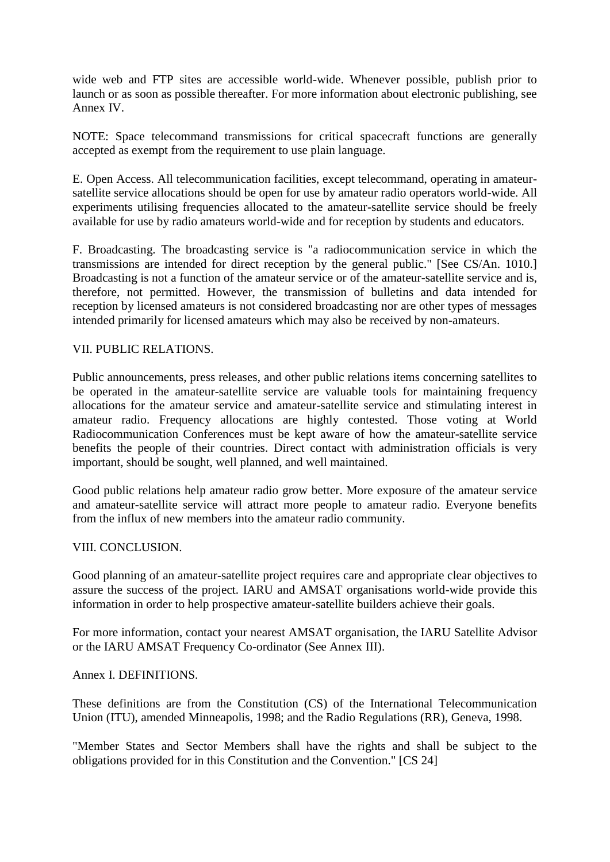wide web and FTP sites are accessible world-wide. Whenever possible, publish prior to launch or as soon as possible thereafter. For more information about electronic publishing, see Annex IV.

NOTE: Space telecommand transmissions for critical spacecraft functions are generally accepted as exempt from the requirement to use plain language.

E. Open Access. All telecommunication facilities, except telecommand, operating in amateursatellite service allocations should be open for use by amateur radio operators world-wide. All experiments utilising frequencies allocated to the amateur-satellite service should be freely available for use by radio amateurs world-wide and for reception by students and educators.

F. Broadcasting. The broadcasting service is "a radiocommunication service in which the transmissions are intended for direct reception by the general public." [See CS/An. 1010.] Broadcasting is not a function of the amateur service or of the amateur-satellite service and is, therefore, not permitted. However, the transmission of bulletins and data intended for reception by licensed amateurs is not considered broadcasting nor are other types of messages intended primarily for licensed amateurs which may also be received by non-amateurs.

## VII. PUBLIC RELATIONS.

Public announcements, press releases, and other public relations items concerning satellites to be operated in the amateur-satellite service are valuable tools for maintaining frequency allocations for the amateur service and amateur-satellite service and stimulating interest in amateur radio. Frequency allocations are highly contested. Those voting at World Radiocommunication Conferences must be kept aware of how the amateur-satellite service benefits the people of their countries. Direct contact with administration officials is very important, should be sought, well planned, and well maintained.

Good public relations help amateur radio grow better. More exposure of the amateur service and amateur-satellite service will attract more people to amateur radio. Everyone benefits from the influx of new members into the amateur radio community.

### VIII. CONCLUSION.

Good planning of an amateur-satellite project requires care and appropriate clear objectives to assure the success of the project. IARU and AMSAT organisations world-wide provide this information in order to help prospective amateur-satellite builders achieve their goals.

For more information, contact your nearest AMSAT organisation, the IARU Satellite Advisor or the IARU AMSAT Frequency Co-ordinator (See Annex III).

### Annex I. DEFINITIONS.

These definitions are from the Constitution (CS) of the International Telecommunication Union (ITU), amended Minneapolis, 1998; and the Radio Regulations (RR), Geneva, 1998.

"Member States and Sector Members shall have the rights and shall be subject to the obligations provided for in this Constitution and the Convention." [CS 24]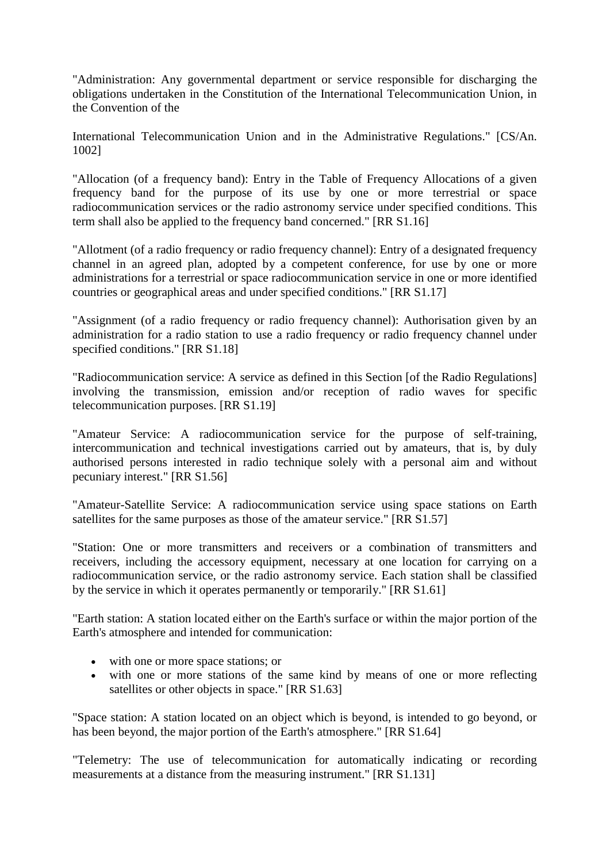"Administration: Any governmental department or service responsible for discharging the obligations undertaken in the Constitution of the International Telecommunication Union, in the Convention of the

International Telecommunication Union and in the Administrative Regulations." [CS/An. 1002]

"Allocation (of a frequency band): Entry in the Table of Frequency Allocations of a given frequency band for the purpose of its use by one or more terrestrial or space radiocommunication services or the radio astronomy service under specified conditions. This term shall also be applied to the frequency band concerned." [RR S1.16]

"Allotment (of a radio frequency or radio frequency channel): Entry of a designated frequency channel in an agreed plan, adopted by a competent conference, for use by one or more administrations for a terrestrial or space radiocommunication service in one or more identified countries or geographical areas and under specified conditions." [RR S1.17]

"Assignment (of a radio frequency or radio frequency channel): Authorisation given by an administration for a radio station to use a radio frequency or radio frequency channel under specified conditions." [RR S1.18]

"Radiocommunication service: A service as defined in this Section [of the Radio Regulations] involving the transmission, emission and/or reception of radio waves for specific telecommunication purposes. [RR S1.19]

"Amateur Service: A radiocommunication service for the purpose of self-training, intercommunication and technical investigations carried out by amateurs, that is, by duly authorised persons interested in radio technique solely with a personal aim and without pecuniary interest." [RR S1.56]

"Amateur-Satellite Service: A radiocommunication service using space stations on Earth satellites for the same purposes as those of the amateur service." [RR S1.57]

"Station: One or more transmitters and receivers or a combination of transmitters and receivers, including the accessory equipment, necessary at one location for carrying on a radiocommunication service, or the radio astronomy service. Each station shall be classified by the service in which it operates permanently or temporarily." [RR S1.61]

"Earth station: A station located either on the Earth's surface or within the major portion of the Earth's atmosphere and intended for communication:

- with one or more space stations; or
- with one or more stations of the same kind by means of one or more reflecting satellites or other objects in space." [RR S1.63]

"Space station: A station located on an object which is beyond, is intended to go beyond, or has been beyond, the major portion of the Earth's atmosphere." [RR S1.64]

"Telemetry: The use of telecommunication for automatically indicating or recording measurements at a distance from the measuring instrument." [RR S1.131]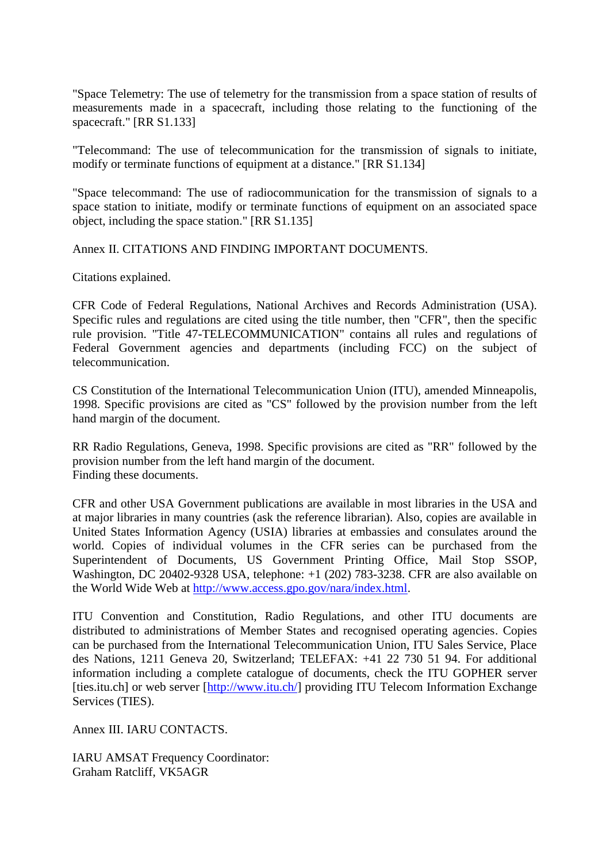"Space Telemetry: The use of telemetry for the transmission from a space station of results of measurements made in a spacecraft, including those relating to the functioning of the spacecraft." [RR S1.133]

"Telecommand: The use of telecommunication for the transmission of signals to initiate, modify or terminate functions of equipment at a distance." [RR S1.134]

"Space telecommand: The use of radiocommunication for the transmission of signals to a space station to initiate, modify or terminate functions of equipment on an associated space object, including the space station." [RR S1.135]

Annex II. CITATIONS AND FINDING IMPORTANT DOCUMENTS.

Citations explained.

CFR Code of Federal Regulations, National Archives and Records Administration (USA). Specific rules and regulations are cited using the title number, then "CFR", then the specific rule provision. "Title 47-TELECOMMUNICATION" contains all rules and regulations of Federal Government agencies and departments (including FCC) on the subject of telecommunication.

CS Constitution of the International Telecommunication Union (ITU), amended Minneapolis, 1998. Specific provisions are cited as "CS" followed by the provision number from the left hand margin of the document.

RR Radio Regulations, Geneva, 1998. Specific provisions are cited as "RR" followed by the provision number from the left hand margin of the document. Finding these documents.

CFR and other USA Government publications are available in most libraries in the USA and at major libraries in many countries (ask the reference librarian). Also, copies are available in United States Information Agency (USIA) libraries at embassies and consulates around the world. Copies of individual volumes in the CFR series can be purchased from the Superintendent of Documents, US Government Printing Office, Mail Stop SSOP, Washington, DC 20402-9328 USA, telephone: +1 (202) 783-3238. CFR are also available on the World Wide Web at [http://www.access.gpo.gov/nara/index.html.](http://www.access.gpo.gov/nara/index.html)

ITU Convention and Constitution, Radio Regulations, and other ITU documents are distributed to administrations of Member States and recognised operating agencies. Copies can be purchased from the International Telecommunication Union, ITU Sales Service, Place des Nations, 1211 Geneva 20, Switzerland; TELEFAX: +41 22 730 51 94. For additional information including a complete catalogue of documents, check the ITU GOPHER server [ties.itu.ch] or web server [\[http://www.itu.ch/\]](http://www.itu.ch/) providing ITU Telecom Information Exchange Services (TIES).

Annex III. IARU CONTACTS.

IARU AMSAT Frequency Coordinator: Graham Ratcliff, VK5AGR